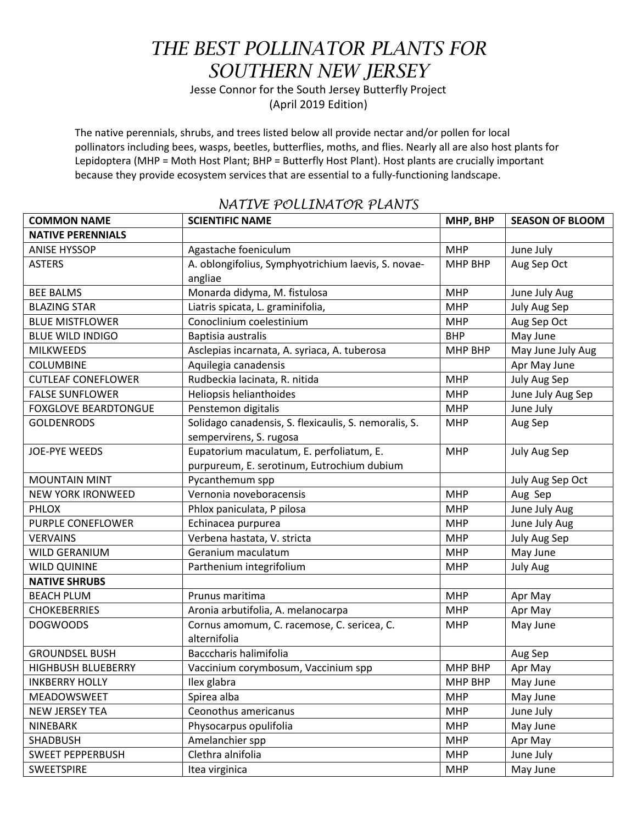## *THE BEST POLLINATOR PLANTS FOR SOUTHERN NEW JERSEY*

Jesse Connor for the South Jersey Butterfly Project (April 2019 Edition)

The native perennials, shrubs, and trees listed below all provide nectar and/or pollen for local pollinators including bees, wasps, beetles, butterflies, moths, and flies. Nearly all are also host plants for Lepidoptera (MHP = Moth Host Plant; BHP = Butterfly Host Plant). Host plants are crucially important because they provide ecosystem services that are essential to a fully-functioning landscape.

| <b>COMMON NAME</b>          | <b>SCIENTIFIC NAME</b>                                         | MHP, BHP       | <b>SEASON OF BLOOM</b> |
|-----------------------------|----------------------------------------------------------------|----------------|------------------------|
| <b>NATIVE PERENNIALS</b>    |                                                                |                |                        |
| <b>ANISE HYSSOP</b>         | Agastache foeniculum                                           | <b>MHP</b>     | June July              |
| <b>ASTERS</b>               | A. oblongifolius, Symphyotrichium laevis, S. novae-<br>angliae | MHP BHP        | Aug Sep Oct            |
| <b>BEE BALMS</b>            | Monarda didyma, M. fistulosa                                   | <b>MHP</b>     | June July Aug          |
| <b>BLAZING STAR</b>         | Liatris spicata, L. graminifolia,                              | <b>MHP</b>     | July Aug Sep           |
| <b>BLUE MISTFLOWER</b>      | Conoclinium coelestinium                                       | <b>MHP</b>     | Aug Sep Oct            |
| <b>BLUE WILD INDIGO</b>     | Baptisia australis                                             | <b>BHP</b>     | May June               |
| <b>MILKWEEDS</b>            | Asclepias incarnata, A. syriaca, A. tuberosa                   | MHP BHP        | May June July Aug      |
| <b>COLUMBINE</b>            | Aquilegia canadensis                                           |                | Apr May June           |
| <b>CUTLEAF CONEFLOWER</b>   | Rudbeckia lacinata, R. nitida                                  | <b>MHP</b>     | July Aug Sep           |
| <b>FALSE SUNFLOWER</b>      | Heliopsis helianthoides                                        | <b>MHP</b>     | June July Aug Sep      |
| <b>FOXGLOVE BEARDTONGUE</b> | Penstemon digitalis                                            | <b>MHP</b>     | June July              |
| <b>GOLDENRODS</b>           | Solidago canadensis, S. flexicaulis, S. nemoralis, S.          | <b>MHP</b>     | Aug Sep                |
|                             | sempervirens, S. rugosa                                        |                |                        |
| <b>JOE-PYE WEEDS</b>        | Eupatorium maculatum, E. perfoliatum, E.                       | <b>MHP</b>     | July Aug Sep           |
|                             | purpureum, E. serotinum, Eutrochium dubium                     |                |                        |
| <b>MOUNTAIN MINT</b>        | Pycanthemum spp                                                |                | July Aug Sep Oct       |
| <b>NEW YORK IRONWEED</b>    | Vernonia noveboracensis                                        | <b>MHP</b>     | Aug Sep                |
| <b>PHLOX</b>                | Phlox paniculata, P pilosa                                     | <b>MHP</b>     | June July Aug          |
| PURPLE CONEFLOWER           | Echinacea purpurea                                             | <b>MHP</b>     | June July Aug          |
| <b>VERVAINS</b>             | Verbena hastata, V. stricta                                    | <b>MHP</b>     | July Aug Sep           |
| <b>WILD GERANIUM</b>        | Geranium maculatum                                             | <b>MHP</b>     | May June               |
| <b>WILD QUININE</b>         | Parthenium integrifolium                                       | <b>MHP</b>     | <b>July Aug</b>        |
| <b>NATIVE SHRUBS</b>        |                                                                |                |                        |
| <b>BEACH PLUM</b>           | Prunus maritima                                                | <b>MHP</b>     | Apr May                |
| <b>CHOKEBERRIES</b>         | Aronia arbutifolia, A. melanocarpa                             | <b>MHP</b>     | Apr May                |
| <b>DOGWOODS</b>             | Cornus amomum, C. racemose, C. sericea, C.<br>alternifolia     | <b>MHP</b>     | May June               |
| <b>GROUNDSEL BUSH</b>       | Bacccharis halimifolia                                         |                | Aug Sep                |
| <b>HIGHBUSH BLUEBERRY</b>   | Vaccinium corymbosum, Vaccinium spp                            | <b>MHP BHP</b> | Apr May                |
| <b>INKBERRY HOLLY</b>       | Ilex glabra                                                    | MHP BHP        | May June               |
| MEADOWSWEET                 | Spirea alba                                                    | <b>MHP</b>     | May June               |
| <b>NEW JERSEY TEA</b>       | Ceonothus americanus                                           | <b>MHP</b>     | June July              |
| <b>NINEBARK</b>             | Physocarpus opulifolia                                         | <b>MHP</b>     | May June               |
| SHADBUSH                    | Amelanchier spp                                                | <b>MHP</b>     | Apr May                |
| <b>SWEET PEPPERBUSH</b>     | Clethra alnifolia                                              | <b>MHP</b>     | June July              |
| <b>SWEETSPIRE</b>           | Itea virginica                                                 | <b>MHP</b>     | May June               |
|                             |                                                                |                |                        |

## *NATIVE POLLINATOR PLANTS*